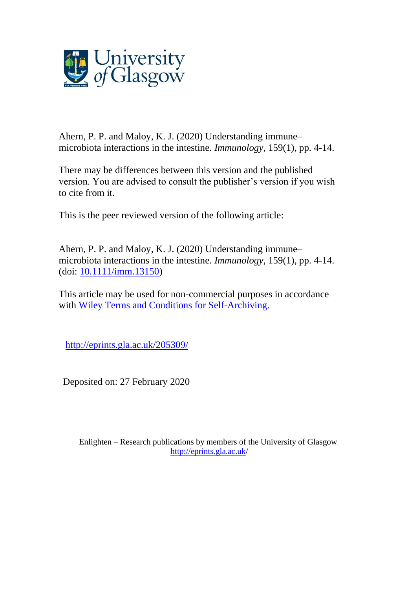

Ahern, P. P. and Maloy, K. J. (2020) Understanding immune– microbiota interactions in the intestine. *Immunology*, 159(1), pp. 4-14.

There may be differences between this version and the published version. You are advised to consult the publisher's version if you wish to cite from it.

This is the peer reviewed version of the following article:

Ahern, P. P. and Maloy, K. J. (2020) Understanding immune– microbiota interactions in the intestine. *Immunology*, 159(1), pp. 4-14. (doi: [10.1111/imm.13150\)](http://dx.doi.org/10.1111/imm.13150)

This article may be used for non-commercial purposes in accordance with Wiley Terms and Conditions for [Self-Archiving.](http://olabout.wiley.com/WileyCDA/Section/id-828039.html#terms)

<http://eprints.gla.ac.uk/205309/>

Deposited on: 27 February 2020

Enlighten – Research publications by members of the University of Glasgo[w](http://eprints.gla.ac.uk/) <http://eprints.gla.ac.uk/>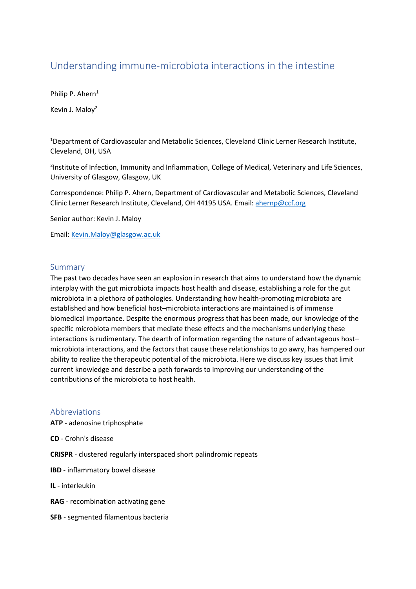# Understanding immune-microbiota interactions in the intestine

Philip P. Ahern<sup>1</sup>

Kevin J. Maloy<sup>2</sup>

<sup>1</sup>Department of Cardiovascular and Metabolic Sciences, Cleveland Clinic Lerner Research Institute, Cleveland, OH, USA

<sup>2</sup>Institute of Infection, Immunity and Inflammation, College of Medical, Veterinary and Life Sciences, University of Glasgow, Glasgow, UK

Correspondence: Philip P. Ahern, Department of Cardiovascular and Metabolic Sciences, Cleveland Clinic Lerner Research Institute, Cleveland, OH 44195 USA. Email[: ahernp@ccf.org](mailto:ahernp@ccf.org)

Senior author: Kevin J. Maloy

Email: [Kevin.Maloy@glasgow.ac.uk](mailto:Kevin.Maloy@glasgow.ac.uk)

#### Summary

The past two decades have seen an explosion in research that aims to understand how the dynamic interplay with the gut microbiota impacts host health and disease, establishing a role for the gut microbiota in a plethora of pathologies. Understanding how health‐promoting microbiota are established and how beneficial host–microbiota interactions are maintained is of immense biomedical importance. Despite the enormous progress that has been made, our knowledge of the specific microbiota members that mediate these effects and the mechanisms underlying these interactions is rudimentary. The dearth of information regarding the nature of advantageous host– microbiota interactions, and the factors that cause these relationships to go awry, has hampered our ability to realize the therapeutic potential of the microbiota. Here we discuss key issues that limit current knowledge and describe a path forwards to improving our understanding of the contributions of the microbiota to host health.

#### Abbreviations

**ATP** - adenosine triphosphate

**CD** - Crohn's disease

**CRISPR** - clustered regularly interspaced short palindromic repeats

**IBD** - inflammatory bowel disease

**IL** - interleukin

- **RAG** recombination activating gene
- **SFB** segmented filamentous bacteria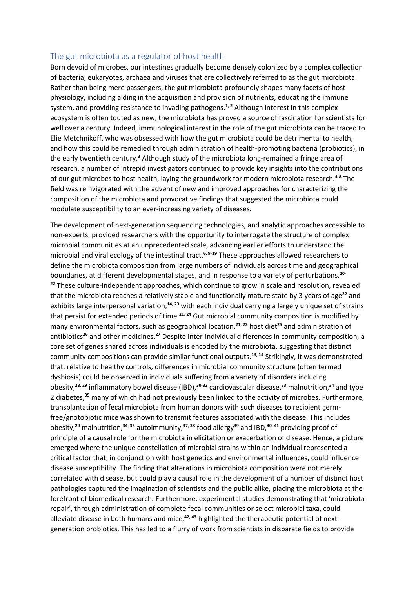#### The gut microbiota as a regulator of host health

Born devoid of microbes, our intestines gradually become densely colonized by a complex collection of bacteria, eukaryotes, archaea and viruses that are collectively referred to as the gut microbiota. Rather than being mere passengers, the gut microbiota profoundly shapes many facets of host physiology, including aiding in the acquisition and provision of nutrients, educating the immune system, and providing resistance to invading pathogens.**<sup>1</sup>**, **<sup>2</sup>** Although interest in this complex ecosystem is often touted as new, the microbiota has proved a source of fascination for scientists for well over a century. Indeed, immunological interest in the role of the gut microbiota can be traced to Elie Metchnikoff, who was obsessed with how the gut microbiota could be detrimental to health, and how this could be remedied through administration of health‐promoting bacteria (probiotics), in the early twentieth century.**<sup>3</sup>** Although study of the microbiota long‐remained a fringe area of research, a number of intrepid investigators continued to provide key insights into the contributions of our gut microbes to host health, laying the groundwork for modern microbiota research.**<sup>4</sup>**-**<sup>8</sup>** The field was reinvigorated with the advent of new and improved approaches for characterizing the composition of the microbiota and provocative findings that suggested the microbiota could modulate susceptibility to an ever‐increasing variety of diseases.

The development of next-generation sequencing technologies, and analytic approaches accessible to non‐experts, provided researchers with the opportunity to interrogate the structure of complex microbial communities at an unprecedented scale, advancing earlier efforts to understand the microbial and viral ecology of the intestinal tract.**<sup>6</sup>**, **<sup>9</sup>**-**<sup>19</sup>** These approaches allowed researchers to define the microbiota composition from large numbers of individuals across time and geographical boundaries, at different developmental stages, and in response to a variety of perturbations.**<sup>20</sup>**- <sup>22</sup> These culture-independent approaches, which continue to grow in scale and resolution, revealed that the microbiota reaches a relatively stable and functionally mature state by 3 years of age**<sup>22</sup>** and exhibits large interpersonal variation,**<sup>14</sup>**, **<sup>23</sup>** with each individual carrying a largely unique set of strains that persist for extended periods of time.**<sup>21</sup>**, **<sup>24</sup>** Gut microbial community composition is modified by many environmental factors, such as geographical location,**<sup>21</sup>**, **<sup>22</sup>** host diet**<sup>25</sup>** and administration of antibiotics**<sup>26</sup>** and other medicines.**<sup>27</sup>** Despite inter‐individual differences in community composition, a core set of genes shared across individuals is encoded by the microbiota, suggesting that distinct community compositions can provide similar functional outputs.**<sup>13</sup>**, **<sup>14</sup>** Strikingly, it was demonstrated that, relative to healthy controls, differences in microbial community structure (often termed dysbiosis) could be observed in individuals suffering from a variety of disorders including obesity,**<sup>28</sup>**, **<sup>29</sup>** inflammatory bowel disease (IBD),**<sup>30</sup>**-**<sup>32</sup>** cardiovascular disease,**<sup>33</sup>** malnutrition,**<sup>34</sup>** and type 2 diabetes,**<sup>35</sup>** many of which had not previously been linked to the activity of microbes. Furthermore, transplantation of fecal microbiota from human donors with such diseases to recipient germ‐ free/gnotobiotic mice was shown to transmit features associated with the disease. This includes obesity,**<sup>29</sup>** malnutrition,**<sup>34</sup>**, **<sup>36</sup>** autoimmunity,**<sup>37</sup>**, **<sup>38</sup>** food allergy**<sup>39</sup>** and IBD,**<sup>40</sup>**, **<sup>41</sup>** providing proof of principle of a causal role for the microbiota in elicitation or exacerbation of disease. Hence, a picture emerged where the unique constellation of microbial strains within an individual represented a critical factor that, in conjunction with host genetics and environmental influences, could influence disease susceptibility. The finding that alterations in microbiota composition were not merely correlated with disease, but could play a causal role in the development of a number of distinct host pathologies captured the imagination of scientists and the public alike, placing the microbiota at the forefront of biomedical research. Furthermore, experimental studies demonstrating that 'microbiota repair', through administration of complete fecal communities or select microbial taxa, could alleviate disease in both humans and mice,<sup>42, 43</sup> highlighted the therapeutic potential of nextgeneration probiotics. This has led to a flurry of work from scientists in disparate fields to provide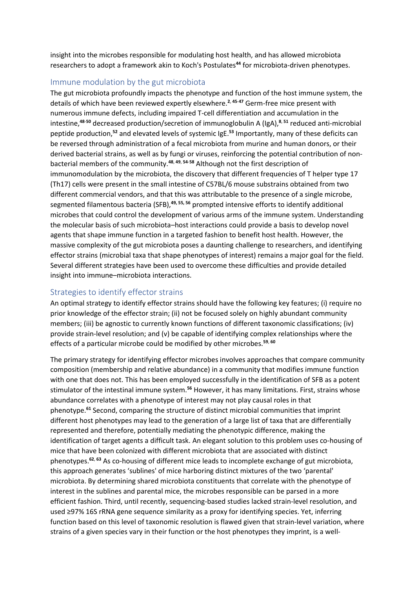insight into the microbes responsible for modulating host health, and has allowed microbiota researchers to adopt a framework akin to Koch's Postulates<sup>44</sup> for microbiota-driven phenotypes.

# Immune modulation by the gut microbiota

The gut microbiota profoundly impacts the phenotype and function of the host immune system, the details of which have been reviewed expertly elsewhere.**<sup>2</sup>**, **<sup>45</sup>**-**<sup>47</sup>** Germ‐free mice present with numerous immune defects, including impaired T‐cell differentiation and accumulation in the intestine,**<sup>48</sup>**-**<sup>50</sup>** decreased production/secretion of immunoglobulin A (IgA),**<sup>8</sup>**, **<sup>51</sup>** reduced anti‐microbial peptide production,**<sup>52</sup>** and elevated levels of systemic IgE.**<sup>53</sup>** Importantly, many of these deficits can be reversed through administration of a fecal microbiota from murine and human donors, or their derived bacterial strains, as well as by fungi or viruses, reinforcing the potential contribution of non‐ bacterial members of the community.**<sup>48</sup>**, **<sup>49</sup>**, **<sup>54</sup>**-**<sup>58</sup>** Although not the first description of immunomodulation by the microbiota, the discovery that different frequencies of T helper type 17 (Th17) cells were present in the small intestine of C57BL/6 mouse substrains obtained from two different commercial vendors, and that this was attributable to the presence of a single microbe, segmented filamentous bacteria (SFB),**49, 55, <sup>56</sup>** prompted intensive efforts to identify additional microbes that could control the development of various arms of the immune system. Understanding the molecular basis of such microbiota–host interactions could provide a basis to develop novel agents that shape immune function in a targeted fashion to benefit host health. However, the massive complexity of the gut microbiota poses a daunting challenge to researchers, and identifying effector strains (microbial taxa that shape phenotypes of interest) remains a major goal for the field. Several different strategies have been used to overcome these difficulties and provide detailed insight into immune–microbiota interactions.

# Strategies to identify effector strains

An optimal strategy to identify effector strains should have the following key features; (i) require no prior knowledge of the effector strain; (ii) not be focused solely on highly abundant community members; (iii) be agnostic to currently known functions of different taxonomic classifications; (iv) provide strain‐level resolution; and (v) be capable of identifying complex relationships where the effects of a particular microbe could be modified by other microbes.**<sup>59</sup>**, **<sup>60</sup>**

The primary strategy for identifying effector microbes involves approaches that compare community composition (membership and relative abundance) in a community that modifies immune function with one that does not. This has been employed successfully in the identification of SFB as a potent stimulator of the intestinal immune system.**<sup>56</sup>** However, it has many limitations. First, strains whose abundance correlates with a phenotype of interest may not play causal roles in that phenotype.**<sup>61</sup>** Second, comparing the structure of distinct microbial communities that imprint different host phenotypes may lead to the generation of a large list of taxa that are differentially represented and therefore, potentially mediating the phenotypic difference, making the identification of target agents a difficult task. An elegant solution to this problem uses co-housing of mice that have been colonized with different microbiota that are associated with distinct phenotypes.**<sup>62</sup>**, **<sup>63</sup>** As co‐housing of different mice leads to incomplete exchange of gut microbiota, this approach generates 'sublines' of mice harboring distinct mixtures of the two 'parental' microbiota. By determining shared microbiota constituents that correlate with the phenotype of interest in the sublines and parental mice, the microbes responsible can be parsed in a more efficient fashion. Third, until recently, sequencing‐based studies lacked strain‐level resolution, and used ≥97% 16S rRNA gene sequence similarity as a proxy for identifying species. Yet, inferring function based on this level of taxonomic resolution is flawed given that strain-level variation, where strains of a given species vary in their function or the host phenotypes they imprint, is a well‐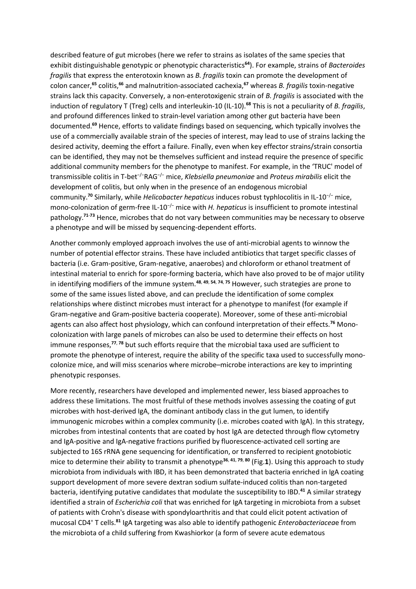described feature of gut microbes (here we refer to strains as isolates of the same species that exhibit distinguishable genotypic or phenotypic characteristics**<sup>64</sup>**). For example, strains of *Bacteroides fragilis* that express the enterotoxin known as *B. fragilis* toxin can promote the development of colon cancer,**<sup>65</sup>** colitis,**<sup>66</sup>** and malnutrition‐associated cachexia,**<sup>67</sup>** whereas *B. fragilis* toxin‐negative strains lack this capacity. Conversely, a non‐enterotoxigenic strain of *B. fragilis* is associated with the induction of regulatory T (Treg) cells and interleukin‐10 (IL‐10).**<sup>68</sup>** This is not a peculiarity of *B. fragilis*, and profound differences linked to strain‐level variation among other gut bacteria have been documented.**<sup>69</sup>** Hence, efforts to validate findings based on sequencing, which typically involves the use of a commercially available strain of the species of interest, may lead to use of strains lacking the desired activity, deeming the effort a failure. Finally, even when key effector strains/strain consortia can be identified, they may not be themselves sufficient and instead require the presence of specific additional community members for the phenotype to manifest. For example, in the 'TRUC' model of transmissible colitis in T‐bet−/−RAG−/− mice, *Klebsiella pneumoniae* and *Proteus mirabilis* elicit the development of colitis, but only when in the presence of an endogenous microbial community.**<sup>70</sup>** Similarly, while *Helicobacter hepaticus* induces robust typhlocolitis in IL‐10−/− mice, mono‐colonization of germ‐free IL‐10−/− mice with *H. hepaticus* is insufficient to promote intestinal pathology.**<sup>71</sup>**-**<sup>73</sup>** Hence, microbes that do not vary between communities may be necessary to observe a phenotype and will be missed by sequencing‐dependent efforts.

Another commonly employed approach involves the use of anti-microbial agents to winnow the number of potential effector strains. These have included antibiotics that target specific classes of bacteria (i.e. Gram‐positive, Gram‐negative, anaerobes) and chloroform or ethanol treatment of intestinal material to enrich for spore‐forming bacteria, which have also proved to be of major utility in identifying modifiers of the immune system.**<sup>48</sup>**, **<sup>49</sup>**, **<sup>54</sup>**, **<sup>74</sup>**, **<sup>75</sup>** However, such strategies are prone to some of the same issues listed above, and can preclude the identification of some complex relationships where distinct microbes must interact for a phenotype to manifest (for example if Gram‐negative and Gram‐positive bacteria cooperate). Moreover, some of these anti‐microbial agents can also affect host physiology, which can confound interpretation of their effects.**<sup>76</sup>** Mono‐ colonization with large panels of microbes can also be used to determine their effects on host immune responses,**<sup>77</sup>**, **<sup>78</sup>** but such efforts require that the microbial taxa used are sufficient to promote the phenotype of interest, require the ability of the specific taxa used to successfully mono‐ colonize mice, and will miss scenarios where microbe–microbe interactions are key to imprinting phenotypic responses.

More recently, researchers have developed and implemented newer, less biased approaches to address these limitations. The most fruitful of these methods involves assessing the coating of gut microbes with host‐derived IgA, the dominant antibody class in the gut lumen, to identify immunogenic microbes within a complex community (i.e. microbes coated with IgA). In this strategy, microbes from intestinal contents that are coated by host IgA are detected through flow cytometry and IgA‐positive and IgA‐negative fractions purified by fluorescence‐activated cell sorting are subjected to 16S rRNA gene sequencing for identification, or transferred to recipient gnotobiotic mice to determine their ability to transmit a phenotype**<sup>36</sup>**, **<sup>41</sup>**, **<sup>79</sup>**, **<sup>80</sup>** (Fig.**1**). Using this approach to study microbiota from individuals with IBD, it has been demonstrated that bacteria enriched in IgA coating support development of more severe dextran sodium sulfate-induced colitis than non-targeted bacteria, identifying putative candidates that modulate the susceptibility to IBD.**<sup>41</sup>** A similar strategy identified a strain of *Escherichia coli* that was enriched for IgA targeting in microbiota from a subset of patients with Crohn's disease with spondyloarthritis and that could elicit potent activation of mucosal CD4<sup>+</sup> T cells.**<sup>81</sup>** IgA targeting was also able to identify pathogenic *Enterobacteriacea*e from the microbiota of a child suffering from Kwashiorkor (a form of severe acute edematous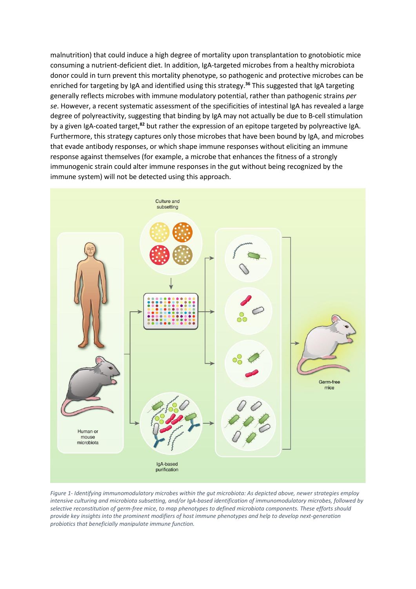malnutrition) that could induce a high degree of mortality upon transplantation to gnotobiotic mice consuming a nutrient‐deficient diet. In addition, IgA‐targeted microbes from a healthy microbiota donor could in turn prevent this mortality phenotype, so pathogenic and protective microbes can be enriched for targeting by IgA and identified using this strategy.**<sup>36</sup>** This suggested that IgA targeting generally reflects microbes with immune modulatory potential, rather than pathogenic strains *per se*. However, a recent systematic assessment of the specificities of intestinal IgA has revealed a large degree of polyreactivity, suggesting that binding by IgA may not actually be due to B-cell stimulation by a given IgA‐coated target,**<sup>82</sup>** but rather the expression of an epitope targeted by polyreactive IgA. Furthermore, this strategy captures only those microbes that have been bound by IgA, and microbes that evade antibody responses, or which shape immune responses without eliciting an immune response against themselves (for example, a microbe that enhances the fitness of a strongly immunogenic strain could alter immune responses in the gut without being recognized by the immune system) will not be detected using this approach.



*Figure 1- Identifying immunomodulatory microbes within the gut microbiota: As depicted above, newer strategies employ intensive culturing and microbiota subsetting, and/or IgA‐based identification of immunomodulatory microbes, followed by selective reconstitution of germ‐free mice, to map phenotypes to defined microbiota components. These efforts should provide key insights into the prominent modifiers of host immune phenotypes and help to develop next‐generation probiotics that beneficially manipulate immune function.*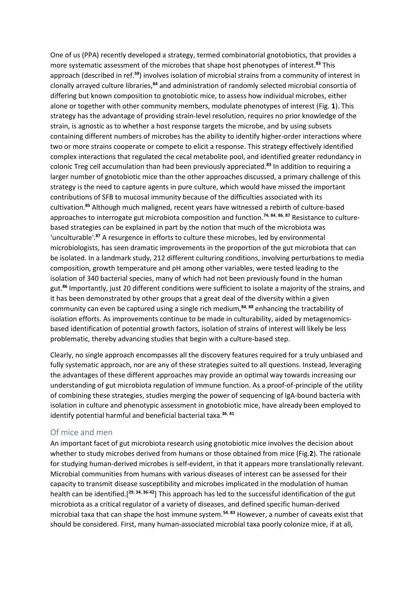One of us (PPA) recently developed a strategy, termed combinatorial gnotobiotics, that provides a more systematic assessment of the microbes that shape host phenotypes of interest.**<sup>83</sup>** This approach (described in ref.**<sup>59</sup>**) involves isolation of microbial strains from a community of interest in clonally arrayed culture libraries,**<sup>84</sup>** and administration of randomly selected microbial consortia of differing but known composition to gnotobiotic mice, to assess how individual microbes, either alone or together with other community members, modulate phenotypes of interest (Fig. **1**). This strategy has the advantage of providing strain‐level resolution, requires no prior knowledge of the strain, is agnostic as to whether a host response targets the microbe, and by using subsets containing different numbers of microbes has the ability to identify higher-order interactions where two or more strains cooperate or compete to elicit a response. This strategy effectively identified complex interactions that regulated the cecal metabolite pool, and identified greater redundancy in colonic Treg cell accumulation than had been previously appreciated.**<sup>83</sup>** In addition to requiring a larger number of gnotobiotic mice than the other approaches discussed, a primary challenge of this strategy is the need to capture agents in pure culture, which would have missed the important contributions of SFB to mucosal immunity because of the difficulties associated with its cultivation.**<sup>85</sup>** Although much maligned, recent years have witnessed a rebirth of culture‐based approaches to interrogate gut microbiota composition and function.**<sup>74</sup>**, **<sup>84</sup>**, **<sup>86</sup>**, **<sup>87</sup>** Resistance to culture‐ based strategies can be explained in part by the notion that much of the microbiota was 'unculturable'.**<sup>87</sup>** A resurgence in efforts to culture these microbes, led by environmental microbiologists, has seen dramatic improvements in the proportion of the gut microbiota that can be isolated. In a landmark study, 212 different culturing conditions, involving perturbations to media composition, growth temperature and pH among other variables, were tested leading to the isolation of 340 bacterial species, many of which had not been previously found in the human gut.**<sup>86</sup>** Importantly, just 20 different conditions were sufficient to isolate a majority of the strains, and it has been demonstrated by other groups that a great deal of the diversity within a given community can even be captured using a single rich medium,**<sup>84</sup>**, **<sup>88</sup>** enhancing the tractability of isolation efforts. As improvements continue to be made in culturability, aided by metagenomicsbased identification of potential growth factors, isolation of strains of interest will likely be less problematic, thereby advancing studies that begin with a culture‐based step.

Clearly, no single approach encompasses all the discovery features required for a truly unbiased and fully systematic approach, nor are any of these strategies suited to all questions. Instead, leveraging the advantages of these different approaches may provide an optimal way towards increasing our understanding of gut microbiota regulation of immune function. As a proof‐of‐principle of the utility of combining these strategies, studies merging the power of sequencing of IgA‐bound bacteria with isolation in culture and phenotypic assessment in gnotobiotic mice, have already been employed to identify potential harmful and beneficial bacterial taxa.**<sup>36</sup>**, **<sup>41</sup>**

# Of mice and men

An important facet of gut microbiota research using gnotobiotic mice involves the decision about whether to study microbes derived from humans or those obtained from mice (Fig.**2**). The rationale for studying human-derived microbes is self-evident, in that it appears more translationally relevant. Microbial communities from humans with various diseases of interest can be assessed for their capacity to transmit disease susceptibility and microbes implicated in the modulation of human health can be identified.[**<sup>29</sup>**, **<sup>34</sup>**, **<sup>36</sup>**-**<sup>42</sup>**] This approach has led to the successful identification of the gut microbiota as a critical regulator of a variety of diseases, and defined specific human‐derived microbial taxa that can shape the host immune system.**<sup>54</sup>**, **<sup>83</sup>** However, a number of caveats exist that should be considered. First, many human‐associated microbial taxa poorly colonize mice, if at all,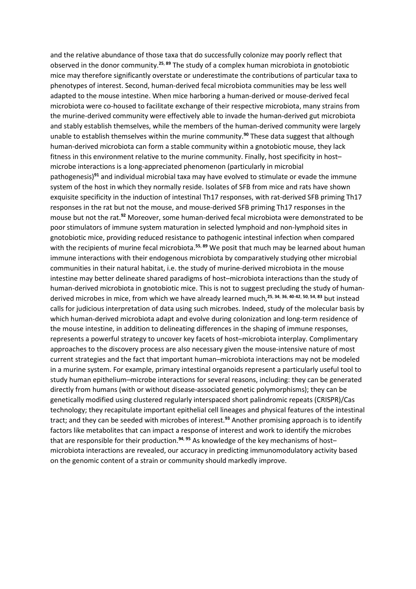and the relative abundance of those taxa that do successfully colonize may poorly reflect that observed in the donor community.**<sup>25</sup>**, **<sup>89</sup>** The study of a complex human microbiota in gnotobiotic mice may therefore significantly overstate or underestimate the contributions of particular taxa to phenotypes of interest. Second, human‐derived fecal microbiota communities may be less well adapted to the mouse intestine. When mice harboring a human‐derived or mouse‐derived fecal microbiota were co‐housed to facilitate exchange of their respective microbiota, many strains from the murine-derived community were effectively able to invade the human-derived gut microbiota and stably establish themselves, while the members of the human-derived community were largely unable to establish themselves within the murine community.**<sup>90</sup>** These data suggest that although human-derived microbiota can form a stable community within a gnotobiotic mouse, they lack fitness in this environment relative to the murine community. Finally, host specificity in host– microbe interactions is a long‐appreciated phenomenon (particularly in microbial pathogenesis)**<sup>91</sup>** and individual microbial taxa may have evolved to stimulate or evade the immune system of the host in which they normally reside. Isolates of SFB from mice and rats have shown exquisite specificity in the induction of intestinal Th17 responses, with rat-derived SFB priming Th17 responses in the rat but not the mouse, and mouse‐derived SFB priming Th17 responses in the mouse but not the rat.<sup>92</sup> Moreover, some human-derived fecal microbiota were demonstrated to be poor stimulators of immune system maturation in selected lymphoid and non‐lymphoid sites in gnotobiotic mice, providing reduced resistance to pathogenic intestinal infection when compared with the recipients of murine fecal microbiota.<sup>55, 89</sup> We posit that much may be learned about human immune interactions with their endogenous microbiota by comparatively studying other microbial communities in their natural habitat, i.e. the study of murine‐derived microbiota in the mouse intestine may better delineate shared paradigms of host–microbiota interactions than the study of human-derived microbiota in gnotobiotic mice. This is not to suggest precluding the study of humanderived microbes in mice, from which we have already learned much,**<sup>25</sup>**, **<sup>34</sup>**, **<sup>36</sup>**, **<sup>40</sup>**-**42**, **<sup>50</sup>**, **<sup>54</sup>**, **<sup>83</sup>** but instead calls for judicious interpretation of data using such microbes. Indeed, study of the molecular basis by which human-derived microbiota adapt and evolve during colonization and long-term residence of the mouse intestine, in addition to delineating differences in the shaping of immune responses, represents a powerful strategy to uncover key facets of host–microbiota interplay. Complimentary approaches to the discovery process are also necessary given the mouse-intensive nature of most current strategies and the fact that important human–microbiota interactions may not be modeled in a murine system. For example, primary intestinal organoids represent a particularly useful tool to study human epithelium–microbe interactions for several reasons, including: they can be generated directly from humans (with or without disease‐associated genetic polymorphisms); they can be genetically modified using clustered regularly interspaced short palindromic repeats (CRISPR)/Cas technology; they recapitulate important epithelial cell lineages and physical features of the intestinal tract; and they can be seeded with microbes of interest.**<sup>93</sup>** Another promising approach is to identify factors like metabolites that can impact a response of interest and work to identify the microbes that are responsible for their production.**<sup>94</sup>**, **<sup>95</sup>** As knowledge of the key mechanisms of host– microbiota interactions are revealed, our accuracy in predicting immunomodulatory activity based on the genomic content of a strain or community should markedly improve.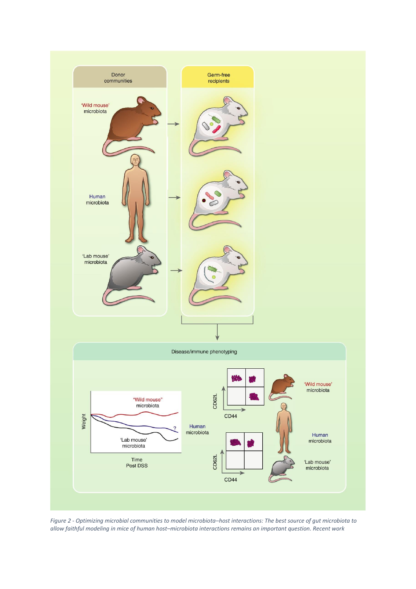

*Figure 2 - Optimizing microbial communities to model microbiota–host interactions: The best source of gut microbiota to allow faithful modeling in mice of human host–microbiota interactions remains an important question. Recent work*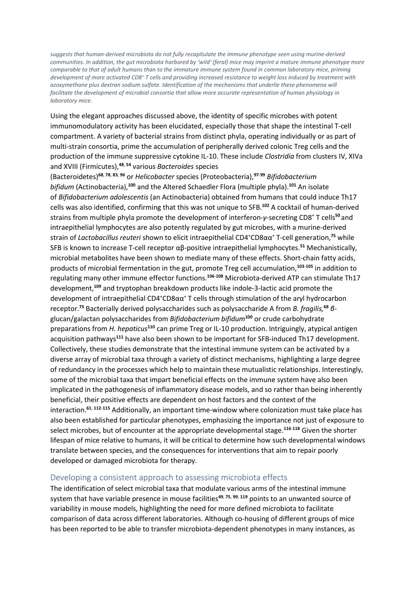*suggests that human‐derived microbiota do not fully recapitulate the immune phenotype seen using murine‐derived communities. In addition, the gut microbiota harbored by 'wild' (feral) mice may imprint a mature immune phenotype more comparable to that of adult humans than to the immature immune system found in common laboratory mice, priming development of more activated CD8<sup>+</sup> T cells and providing increased resistance to weight loss induced by treatment with azoxymethane plus dextran sodium sulfate. Identification of the mechanisms that underlie these phenomena will facilitate the development of microbial consortia that allow more accurate representation of human physiology in laboratory mice.*

Using the elegant approaches discussed above, the identity of specific microbes with potent immunomodulatory activity has been elucidated, especially those that shape the intestinal T‐cell compartment. A variety of bacterial strains from distinct phyla, operating individually or as part of multi‐strain consortia, prime the accumulation of peripherally derived colonic Treg cells and the production of the immune suppressive cytokine IL‐10. These include *Clostridia* from clusters IV, XIVa and XVIII (Firmicutes),**<sup>48</sup>**, **<sup>54</sup>** various *Bacteroides* species

(Bacteroidetes)**<sup>68</sup>**, **<sup>78</sup>**, **<sup>83</sup>**, **<sup>96</sup>** or *Helicobacter* species (Proteobacteria),**<sup>97</sup>**-**<sup>99</sup>** *Bifidobacterium bifidum* (Actinobacteria),**<sup>100</sup>** and the Altered Schaedler Flora (multiple phyla).**<sup>101</sup>** An isolate of *Bifidobacterium adolescentis* (an Actinobacteria) obtained from humans that could induce Th17 cells was also identified, confirming that this was not unique to SFB.**<sup>102</sup>** A cocktail of human‐derived strains from multiple phyla promote the development of interferon‐*γ*‐secreting CD8<sup>+</sup> T cells**<sup>50</sup>** and intraepithelial lymphocytes are also potently regulated by gut microbes, with a murine‐derived strain of *Lactobacillus reuteri* shown to elicit intraepithelial CD4<sup>+</sup>CD8αα<sup>+</sup> T‐cell generation,**<sup>75</sup>** while SFB is known to increase T‐cell receptor αβ‐positive intraepithelial lymphocytes.**<sup>51</sup>** Mechanistically, microbial metabolites have been shown to mediate many of these effects. Short-chain fatty acids, products of microbial fermentation in the gut, promote Treg cell accumulation,**<sup>103</sup>**-**<sup>105</sup>** in addition to regulating many other immune effector functions.**<sup>106</sup>**-**<sup>108</sup>** Microbiota‐derived ATP can stimulate Th17 development,**<sup>109</sup>** and tryptophan breakdown products like indole‐3‐lactic acid promote the development of intraepithelial  $CD4^+CD8\alpha\alpha^+$  T cells through stimulation of the aryl hydrocarbon receptor.**<sup>75</sup>** Bacterially derived polysaccharides such as polysaccharide A from *B. fragilis,***<sup>68</sup>** *β*‐ glucan/galactan polysaccharides from *Bifidobacterium bifidum***<sup>100</sup>** or crude carbohydrate preparations from *H. hepaticus***<sup>110</sup>** can prime Treg or IL‐10 production. Intriguingly, atypical antigen acquisition pathways<sup>111</sup> have also been shown to be important for SFB-induced Th17 development. Collectively, these studies demonstrate that the intestinal immune system can be activated by a diverse array of microbial taxa through a variety of distinct mechanisms, highlighting a large degree of redundancy in the processes which help to maintain these mutualistic relationships. Interestingly, some of the microbial taxa that impart beneficial effects on the immune system have also been implicated in the pathogenesis of inflammatory disease models, and so rather than being inherently beneficial, their positive effects are dependent on host factors and the context of the interaction.**<sup>61</sup>**, **<sup>112</sup>**-**<sup>115</sup>** Additionally, an important time‐window where colonization must take place has also been established for particular phenotypes, emphasizing the importance not just of exposure to select microbes, but of encounter at the appropriate developmental stage.**<sup>116</sup>**-**<sup>118</sup>** Given the shorter lifespan of mice relative to humans, it will be critical to determine how such developmental windows translate between species, and the consequences for interventions that aim to repair poorly developed or damaged microbiota for therapy.

### Developing a consistent approach to assessing microbiota effects

The identification of select microbial taxa that modulate various arms of the intestinal immune system that have variable presence in mouse facilities**<sup>49</sup>**, **<sup>75</sup>**, **<sup>99</sup>**, **<sup>119</sup>** points to an unwanted source of variability in mouse models, highlighting the need for more defined microbiota to facilitate comparison of data across different laboratories. Although co-housing of different groups of mice has been reported to be able to transfer microbiota-dependent phenotypes in many instances, as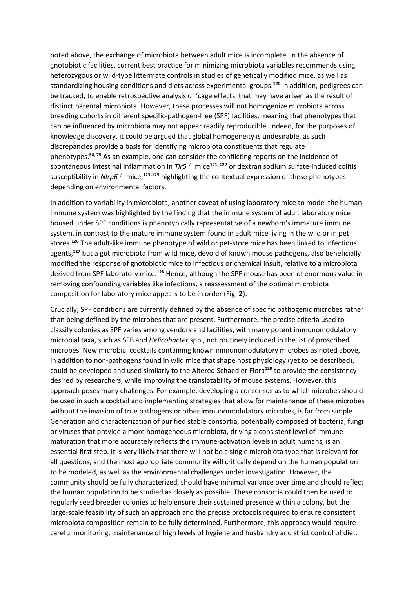noted above, the exchange of microbiota between adult mice is incomplete. In the absence of gnotobiotic facilities, current best practice for minimizing microbiota variables recommends using heterozygous or wild-type littermate controls in studies of genetically modified mice, as well as standardizing housing conditions and diets across experimental groups.**<sup>120</sup>** In addition, pedigrees can be tracked, to enable retrospective analysis of 'cage effects' that may have arisen as the result of distinct parental microbiota. However, these processes will not homogenize microbiota across breeding cohorts in different specific‐pathogen‐free (SPF) facilities, meaning that phenotypes that can be influenced by microbiota may not appear readily reproducible. Indeed, for the purposes of knowledge discovery, it could be argued that global homogeneity is undesirable, as such discrepancies provide a basis for identifying microbiota constituents that regulate phenotypes.**<sup>56</sup>**, **<sup>75</sup>** As an example, one can consider the conflicting reports on the incidence of spontaneous intestinal inflammation in *Tlr5*−/− mice**<sup>121</sup>**, **<sup>122</sup>** or dextran sodium sulfate‐induced colitis susceptibility in *Nlrp6*−/− mice,**<sup>123</sup>**-**<sup>125</sup>** highlighting the contextual expression of these phenotypes depending on environmental factors.

In addition to variability in microbiota, another caveat of using laboratory mice to model the human immune system was highlighted by the finding that the immune system of adult laboratory mice housed under SPF conditions is phenotypically representative of a newborn's immature immune system, in contrast to the mature immune system found in adult mice living in the wild or in pet stores.**<sup>126</sup>** The adult‐like immune phenotype of wild or pet‐store mice has been linked to infectious agents,**<sup>127</sup>** but a gut microbiota from wild mice, devoid of known mouse pathogens, also beneficially modified the response of gnotobiotic mice to infectious or chemical insult, relative to a microbiota derived from SPF laboratory mice.**<sup>128</sup>** Hence, although the SPF mouse has been of enormous value in removing confounding variables like infections, a reassessment of the optimal microbiota composition for laboratory mice appears to be in order (Fig. **2**).

Crucially, SPF conditions are currently defined by the absence of specific pathogenic microbes rather than being defined by the microbes that are present. Furthermore, the precise criteria used to classify colonies as SPF varies among vendors and facilities, with many potent immunomodulatory microbial taxa, such as SFB and *Helicobacter* spp., not routinely included in the list of proscribed microbes. New microbial cocktails containing known immunomodulatory microbes as noted above, in addition to non-pathogens found in wild mice that shape host physiology (yet to be described), could be developed and used similarly to the Altered Schaedler Flora**<sup>129</sup>** to provide the consistency desired by researchers, while improving the translatability of mouse systems. However, this approach poses many challenges. For example, developing a consensus as to which microbes should be used in such a cocktail and implementing strategies that allow for maintenance of these microbes without the invasion of true pathogens or other immunomodulatory microbes, is far from simple. Generation and characterization of purified stable consortia, potentially composed of bacteria, fungi or viruses that provide a more homogeneous microbiota, driving a consistent level of immune maturation that more accurately reflects the immune‐activation levels in adult humans, is an essential first step. It is very likely that there will not be a single microbiota type that is relevant for all questions, and the most appropriate community will critically depend on the human population to be modeled, as well as the environmental challenges under investigation. However, the community should be fully characterized, should have minimal variance over time and should reflect the human population to be studied as closely as possible. These consortia could then be used to regularly seed breeder colonies to help ensure their sustained presence within a colony, but the large-scale feasibility of such an approach and the precise protocols required to ensure consistent microbiota composition remain to be fully determined. Furthermore, this approach would require careful monitoring, maintenance of high levels of hygiene and husbandry and strict control of diet.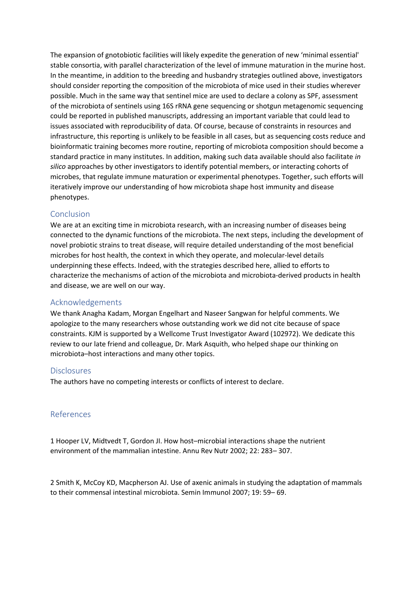The expansion of gnotobiotic facilities will likely expedite the generation of new 'minimal essential' stable consortia, with parallel characterization of the level of immune maturation in the murine host. In the meantime, in addition to the breeding and husbandry strategies outlined above, investigators should consider reporting the composition of the microbiota of mice used in their studies wherever possible. Much in the same way that sentinel mice are used to declare a colony as SPF, assessment of the microbiota of sentinels using 16S rRNA gene sequencing or shotgun metagenomic sequencing could be reported in published manuscripts, addressing an important variable that could lead to issues associated with reproducibility of data. Of course, because of constraints in resources and infrastructure, this reporting is unlikely to be feasible in all cases, but as sequencing costs reduce and bioinformatic training becomes more routine, reporting of microbiota composition should become a standard practice in many institutes. In addition, making such data available should also facilitate *in silico* approaches by other investigators to identify potential members, or interacting cohorts of microbes, that regulate immune maturation or experimental phenotypes. Together, such efforts will iteratively improve our understanding of how microbiota shape host immunity and disease phenotypes.

### Conclusion

We are at an exciting time in microbiota research, with an increasing number of diseases being connected to the dynamic functions of the microbiota. The next steps, including the development of novel probiotic strains to treat disease, will require detailed understanding of the most beneficial microbes for host health, the context in which they operate, and molecular‐level details underpinning these effects. Indeed, with the strategies described here, allied to efforts to characterize the mechanisms of action of the microbiota and microbiota‐derived products in health and disease, we are well on our way.

### Acknowledgements

We thank Anagha Kadam, Morgan Engelhart and Naseer Sangwan for helpful comments. We apologize to the many researchers whose outstanding work we did not cite because of space constraints. KJM is supported by a Wellcome Trust Investigator Award (102972). We dedicate this review to our late friend and colleague, Dr. Mark Asquith, who helped shape our thinking on microbiota–host interactions and many other topics.

### **Disclosures**

The authors have no competing interests or conflicts of interest to declare.

# References

1 Hooper LV, Midtvedt T, Gordon JI. How host–microbial interactions shape the nutrient environment of the mammalian intestine. Annu Rev Nutr 2002; 22: 283– 307.

2 Smith K, McCoy KD, Macpherson AJ. Use of axenic animals in studying the adaptation of mammals to their commensal intestinal microbiota. Semin Immunol 2007; 19: 59– 69.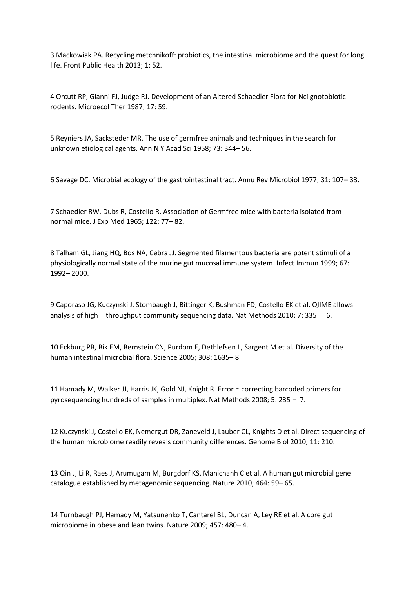3 Mackowiak PA. Recycling metchnikoff: probiotics, the intestinal microbiome and the quest for long life. Front Public Health 2013; 1: 52.

4 Orcutt RP, Gianni FJ, Judge RJ. Development of an Altered Schaedler Flora for Nci gnotobiotic rodents. Microecol Ther 1987; 17: 59.

5 Reyniers JA, Sacksteder MR. The use of germfree animals and techniques in the search for unknown etiological agents. Ann N Y Acad Sci 1958; 73: 344– 56.

6 Savage DC. Microbial ecology of the gastrointestinal tract. Annu Rev Microbiol 1977; 31: 107– 33.

7 Schaedler RW, Dubs R, Costello R. Association of Germfree mice with bacteria isolated from normal mice. J Exp Med 1965; 122: 77– 82.

8 Talham GL, Jiang HQ, Bos NA, Cebra JJ. Segmented filamentous bacteria are potent stimuli of a physiologically normal state of the murine gut mucosal immune system. Infect Immun 1999; 67: 1992– 2000.

9 Caporaso JG, Kuczynski J, Stombaugh J, Bittinger K, Bushman FD, Costello EK et al. QIIME allows analysis of high – throughput community sequencing data. Nat Methods 2010; 7: 335 – 6.

10 Eckburg PB, Bik EM, Bernstein CN, Purdom E, Dethlefsen L, Sargent M et al. Diversity of the human intestinal microbial flora. Science 2005; 308: 1635– 8.

11 Hamady M, Walker JJ, Harris JK, Gold NJ, Knight R. Error - correcting barcoded primers for pyrosequencing hundreds of samples in multiplex. Nat Methods 2008; 5: 235– 7.

12 Kuczynski J, Costello EK, Nemergut DR, Zaneveld J, Lauber CL, Knights D et al. Direct sequencing of the human microbiome readily reveals community differences. Genome Biol 2010; 11: 210.

13 Qin J, Li R, Raes J, Arumugam M, Burgdorf KS, Manichanh C et al. A human gut microbial gene catalogue established by metagenomic sequencing. Nature 2010; 464: 59– 65.

14 Turnbaugh PJ, Hamady M, Yatsunenko T, Cantarel BL, Duncan A, Ley RE et al. A core gut microbiome in obese and lean twins. Nature 2009; 457: 480– 4.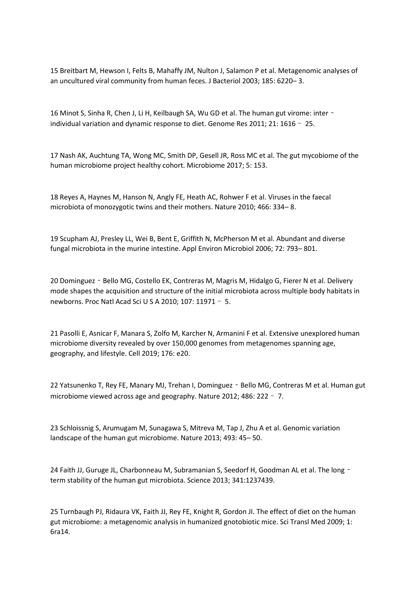15 Breitbart M, Hewson I, Felts B, Mahaffy JM, Nulton J, Salamon P et al. Metagenomic analyses of an uncultured viral community from human feces. J Bacteriol 2003; 185: 6220– 3.

16 Minot S, Sinha R, Chen J, Li H, Keilbaugh SA, Wu GD et al. The human gut virome: inter‐ individual variation and dynamic response to diet. Genome Res 2011; 21: 1616– 25.

17 Nash AK, Auchtung TA, Wong MC, Smith DP, Gesell JR, Ross MC et al. The gut mycobiome of the human microbiome project healthy cohort. Microbiome 2017; 5: 153.

18 Reyes A, Haynes M, Hanson N, Angly FE, Heath AC, Rohwer F et al. Viruses in the faecal microbiota of monozygotic twins and their mothers. Nature 2010; 466: 334– 8.

19 Scupham AJ, Presley LL, Wei B, Bent E, Griffith N, McPherson M et al. Abundant and diverse fungal microbiota in the murine intestine. Appl Environ Microbiol 2006; 72: 793– 801.

20 Dominguez - Bello MG, Costello EK, Contreras M, Magris M, Hidalgo G, Fierer N et al. Delivery mode shapes the acquisition and structure of the initial microbiota across multiple body habitats in newborns. Proc Natl Acad Sci U S A 2010; 107: 11971– 5.

21 Pasolli E, Asnicar F, Manara S, Zolfo M, Karcher N, Armanini F et al. Extensive unexplored human microbiome diversity revealed by over 150,000 genomes from metagenomes spanning age, geography, and lifestyle. Cell 2019; 176: e20.

22 Yatsunenko T, Rey FE, Manary MJ, Trehan I, Dominguez - Bello MG, Contreras M et al. Human gut microbiome viewed across age and geography. Nature 2012; 486: 222 - 7.

23 Schloissnig S, Arumugam M, Sunagawa S, Mitreva M, Tap J, Zhu A et al. Genomic variation landscape of the human gut microbiome. Nature 2013; 493: 45– 50.

24 Faith JJ, Guruge JL, Charbonneau M, Subramanian S, Seedorf H, Goodman AL et al. The long term stability of the human gut microbiota. Science 2013; 341:1237439.

25 Turnbaugh PJ, Ridaura VK, Faith JJ, Rey FE, Knight R, Gordon JI. The effect of diet on the human gut microbiome: a metagenomic analysis in humanized gnotobiotic mice. Sci Transl Med 2009; 1: 6ra14.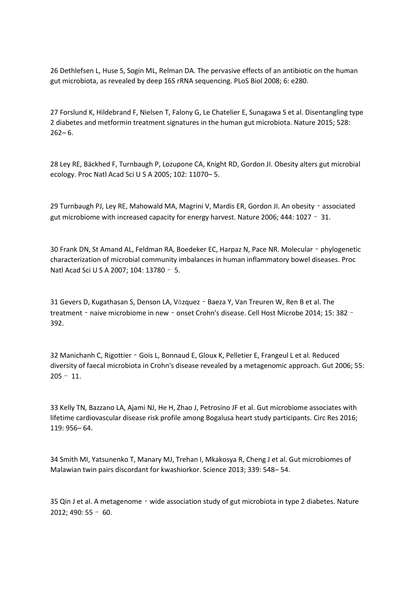26 Dethlefsen L, Huse S, Sogin ML, Relman DA. The pervasive effects of an antibiotic on the human gut microbiota, as revealed by deep 16S rRNA sequencing. PLoS Biol 2008; 6: e280.

27 Forslund K, Hildebrand F, Nielsen T, Falony G, Le Chatelier E, Sunagawa S et al. Disentangling type 2 diabetes and metformin treatment signatures in the human gut microbiota. Nature 2015; 528: 262– 6.

28 Ley RE, Bäckhed F, Turnbaugh P, Lozupone CA, Knight RD, Gordon JI. Obesity alters gut microbial ecology. Proc Natl Acad Sci U S A 2005; 102: 11070– 5.

29 Turnbaugh PJ, Ley RE, Mahowald MA, Magrini V, Mardis ER, Gordon JI. An obesity - associated gut microbiome with increased capacity for energy harvest. Nature 2006; 444: 1027– 31.

30 Frank DN, St Amand AL, Feldman RA, Boedeker EC, Harpaz N, Pace NR. Molecular - phylogenetic characterization of microbial community imbalances in human inflammatory bowel diseases. Proc Natl Acad Sci U S A 2007; 104: 13780– 5.

31 Gevers D, Kugathasan S, Denson LA, Vázquez - Baeza Y, Van Treuren W, Ren B et al. The treatment - naive microbiome in new - onset Crohn's disease. Cell Host Microbe 2014; 15: 382 -392.

32 Manichanh C, Rigottier - Gois L, Bonnaud E, Gloux K, Pelletier E, Frangeul L et al. Reduced diversity of faecal microbiota in Crohn's disease revealed by a metagenomic approach. Gut 2006; 55:  $205 - 11$ .

33 Kelly TN, Bazzano LA, Ajami NJ, He H, Zhao J, Petrosino JF et al. Gut microbiome associates with lifetime cardiovascular disease risk profile among Bogalusa heart study participants. Circ Res 2016; 119: 956– 64.

34 Smith MI, Yatsunenko T, Manary MJ, Trehan I, Mkakosya R, Cheng J et al. Gut microbiomes of Malawian twin pairs discordant for kwashiorkor. Science 2013; 339: 548– 54.

35 Qin J et al. A metagenome - wide association study of gut microbiota in type 2 diabetes. Nature 2012; 490: 55– 60.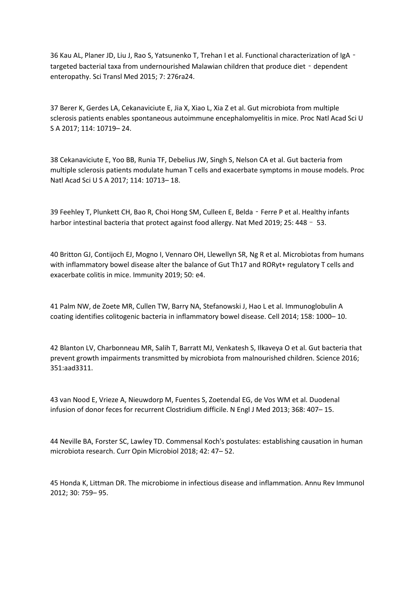36 Kau AL, Planer JD, Liu J, Rao S, Yatsunenko T, Trehan I et al. Functional characterization of IgA‐ targeted bacterial taxa from undernourished Malawian children that produce diet - dependent enteropathy. Sci Transl Med 2015; 7: 276ra24.

37 Berer K, Gerdes LA, Cekanaviciute E, Jia X, Xiao L, Xia Z et al. Gut microbiota from multiple sclerosis patients enables spontaneous autoimmune encephalomyelitis in mice. Proc Natl Acad Sci U S A 2017; 114: 10719– 24.

38 Cekanaviciute E, Yoo BB, Runia TF, Debelius JW, Singh S, Nelson CA et al. Gut bacteria from multiple sclerosis patients modulate human T cells and exacerbate symptoms in mouse models. Proc Natl Acad Sci U S A 2017; 114: 10713– 18.

39 Feehley T, Plunkett CH, Bao R, Choi Hong SM, Culleen E, Belda - Ferre P et al. Healthy infants harbor intestinal bacteria that protect against food allergy. Nat Med 2019; 25: 448 - 53.

40 Britton GJ, Contijoch EJ, Mogno I, Vennaro OH, Llewellyn SR, Ng R et al. Microbiotas from humans with inflammatory bowel disease alter the balance of Gut Th17 and RORγt+ regulatory T cells and exacerbate colitis in mice. Immunity 2019; 50: e4.

41 Palm NW, de Zoete MR, Cullen TW, Barry NA, Stefanowski J, Hao L et al. Immunoglobulin A coating identifies colitogenic bacteria in inflammatory bowel disease. Cell 2014; 158: 1000– 10.

42 Blanton LV, Charbonneau MR, Salih T, Barratt MJ, Venkatesh S, Ilkaveya O et al. Gut bacteria that prevent growth impairments transmitted by microbiota from malnourished children. Science 2016; 351:aad3311.

43 van Nood E, Vrieze A, Nieuwdorp M, Fuentes S, Zoetendal EG, de Vos WM et al. Duodenal infusion of donor feces for recurrent Clostridium difficile. N Engl J Med 2013; 368: 407– 15.

44 Neville BA, Forster SC, Lawley TD. Commensal Koch's postulates: establishing causation in human microbiota research. Curr Opin Microbiol 2018; 42: 47– 52.

45 Honda K, Littman DR. The microbiome in infectious disease and inflammation. Annu Rev Immunol 2012; 30: 759– 95.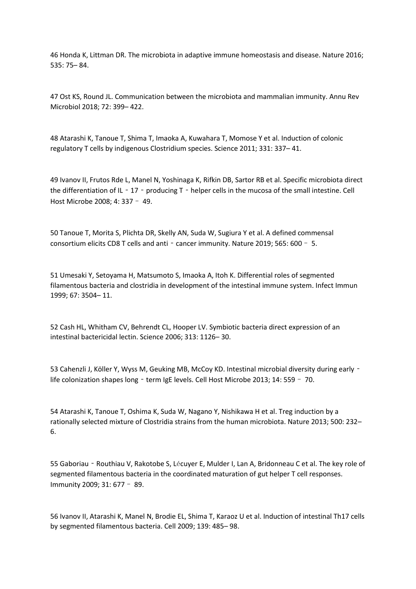46 Honda K, Littman DR. The microbiota in adaptive immune homeostasis and disease. Nature 2016; 535: 75– 84.

47 Ost KS, Round JL. Communication between the microbiota and mammalian immunity. Annu Rev Microbiol 2018; 72: 399– 422.

48 Atarashi K, Tanoue T, Shima T, Imaoka A, Kuwahara T, Momose Y et al. Induction of colonic regulatory T cells by indigenous Clostridium species. Science 2011; 331: 337– 41.

49 Ivanov II, Frutos Rde L, Manel N, Yoshinaga K, Rifkin DB, Sartor RB et al. Specific microbiota direct the differentiation of IL - 17 - producing  $T$  - helper cells in the mucosa of the small intestine. Cell Host Microbe 2008; 4: 337– 49.

50 Tanoue T, Morita S, Plichta DR, Skelly AN, Suda W, Sugiura Y et al. A defined commensal consortium elicits CD8 T cells and anti - cancer immunity. Nature 2019; 565: 600 - 5.

51 Umesaki Y, Setoyama H, Matsumoto S, Imaoka A, Itoh K. Differential roles of segmented filamentous bacteria and clostridia in development of the intestinal immune system. Infect Immun 1999; 67: 3504– 11.

52 Cash HL, Whitham CV, Behrendt CL, Hooper LV. Symbiotic bacteria direct expression of an intestinal bactericidal lectin. Science 2006; 313: 1126– 30.

53 Cahenzli J, Köller Y, Wyss M, Geuking MB, McCoy KD. Intestinal microbial diversity during early life colonization shapes long - term IgE levels. Cell Host Microbe 2013; 14: 559 - 70.

54 Atarashi K, Tanoue T, Oshima K, Suda W, Nagano Y, Nishikawa H et al. Treg induction by a rationally selected mixture of Clostridia strains from the human microbiota. Nature 2013; 500: 232– 6.

55 Gaboriau - Routhiau V, Rakotobe S, Lécuyer E, Mulder I, Lan A, Bridonneau C et al. The key role of segmented filamentous bacteria in the coordinated maturation of gut helper T cell responses. Immunity 2009; 31: 677– 89.

56 Ivanov II, Atarashi K, Manel N, Brodie EL, Shima T, Karaoz U et al. Induction of intestinal Th17 cells by segmented filamentous bacteria. Cell 2009; 139: 485– 98.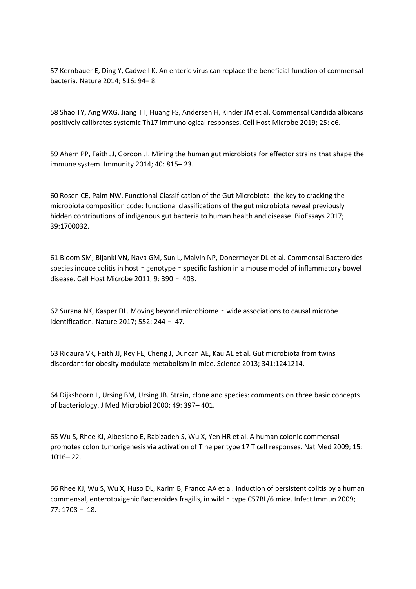57 Kernbauer E, Ding Y, Cadwell K. An enteric virus can replace the beneficial function of commensal bacteria. Nature 2014; 516: 94– 8.

58 Shao TY, Ang WXG, Jiang TT, Huang FS, Andersen H, Kinder JM et al. Commensal Candida albicans positively calibrates systemic Th17 immunological responses. Cell Host Microbe 2019; 25: e6.

59 Ahern PP, Faith JJ, Gordon JI. Mining the human gut microbiota for effector strains that shape the immune system. Immunity 2014; 40: 815– 23.

60 Rosen CE, Palm NW. Functional Classification of the Gut Microbiota: the key to cracking the microbiota composition code: functional classifications of the gut microbiota reveal previously hidden contributions of indigenous gut bacteria to human health and disease. BioEssays 2017; 39:1700032.

61 Bloom SM, Bijanki VN, Nava GM, Sun L, Malvin NP, Donermeyer DL et al. Commensal Bacteroides species induce colitis in host - genotype - specific fashion in a mouse model of inflammatory bowel disease. Cell Host Microbe 2011; 9: 390– 403.

62 Surana NK, Kasper DL. Moving beyond microbiome‐wide associations to causal microbe identification. Nature 2017; 552: 244– 47.

63 Ridaura VK, Faith JJ, Rey FE, Cheng J, Duncan AE, Kau AL et al. Gut microbiota from twins discordant for obesity modulate metabolism in mice. Science 2013; 341:1241214.

64 Dijkshoorn L, Ursing BM, Ursing JB. Strain, clone and species: comments on three basic concepts of bacteriology. J Med Microbiol 2000; 49: 397– 401.

65 Wu S, Rhee KJ, Albesiano E, Rabizadeh S, Wu X, Yen HR et al. A human colonic commensal promotes colon tumorigenesis via activation of T helper type 17 T cell responses. Nat Med 2009; 15: 1016– 22.

66 Rhee KJ, Wu S, Wu X, Huso DL, Karim B, Franco AA et al. Induction of persistent colitis by a human commensal, enterotoxigenic Bacteroides fragilis, in wild - type C57BL/6 mice. Infect Immun 2009; 77: 1708– 18.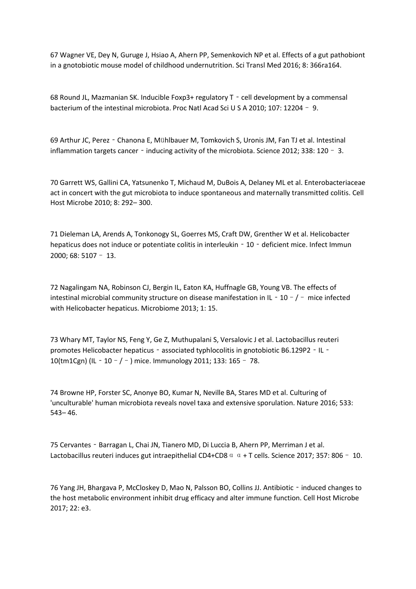67 Wagner VE, Dey N, Guruge J, Hsiao A, Ahern PP, Semenkovich NP et al. Effects of a gut pathobiont in a gnotobiotic mouse model of childhood undernutrition. Sci Transl Med 2016; 8: 366ra164.

68 Round JL, Mazmanian SK. Inducible Foxp3+ regulatory T‐cell development by a commensal bacterium of the intestinal microbiota. Proc Natl Acad Sci U S A 2010; 107: 12204– 9.

69 Arthur JC, Perez‐Chanona E, Mühlbauer M, Tomkovich S, Uronis JM, Fan TJ et al. Intestinal inflammation targets cancer - inducing activity of the microbiota. Science 2012: 338: 120 - 3.

70 Garrett WS, Gallini CA, Yatsunenko T, Michaud M, DuBois A, Delaney ML et al. Enterobacteriaceae act in concert with the gut microbiota to induce spontaneous and maternally transmitted colitis. Cell Host Microbe 2010; 8: 292– 300.

71 Dieleman LA, Arends A, Tonkonogy SL, Goerres MS, Craft DW, Grenther W et al. Helicobacter hepaticus does not induce or potentiate colitis in interleukin - 10 - deficient mice. Infect Immun 2000; 68: 5107– 13.

72 Nagalingam NA, Robinson CJ, Bergin IL, Eaton KA, Huffnagle GB, Young VB. The effects of intestinal microbial community structure on disease manifestation in IL - 10 -  $/$  - mice infected with Helicobacter hepaticus. Microbiome 2013; 1: 15.

73 Whary MT, Taylor NS, Feng Y, Ge Z, Muthupalani S, Versalovic J et al. Lactobacillus reuteri promotes Helicobacter hepaticus - associated typhlocolitis in gnotobiotic B6.129P2 - IL -10(tm1Cgn) (IL‐10–/–) mice. Immunology 2011; 133: 165– 78.

74 Browne HP, Forster SC, Anonye BO, Kumar N, Neville BA, Stares MD et al. Culturing of 'unculturable' human microbiota reveals novel taxa and extensive sporulation. Nature 2016; 533: 543– 46.

75 Cervantes - Barragan L, Chai JN, Tianero MD, Di Luccia B, Ahern PP, Merriman J et al. Lactobacillus reuteri induces gut intraepithelial CD4+CD8  $\alpha$   $\alpha$  + T cells. Science 2017; 357: 806 - 10.

76 Yang JH, Bhargava P, McCloskey D, Mao N, Palsson BO, Collins JJ. Antibiotic - induced changes to the host metabolic environment inhibit drug efficacy and alter immune function. Cell Host Microbe 2017; 22: e3.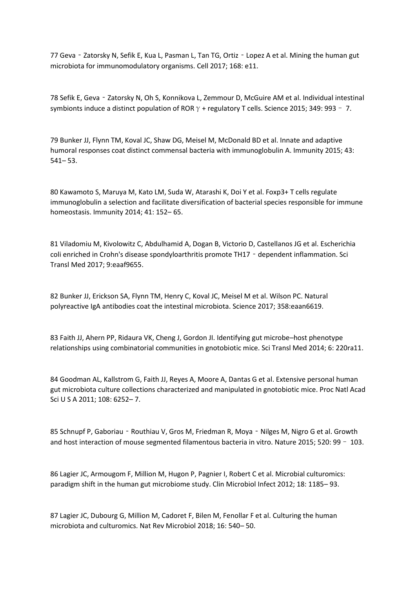77 Geva - Zatorsky N, Sefik E, Kua L, Pasman L, Tan TG, Ortiz - Lopez A et al. Mining the human gut microbiota for immunomodulatory organisms. Cell 2017; 168: e11.

78 Sefik E, Geva - Zatorsky N, Oh S, Konnikova L, Zemmour D, McGuire AM et al. Individual intestinal symbionts induce a distinct population of ROR  $\gamma$  + regulatory T cells. Science 2015; 349: 993 - 7.

79 Bunker JJ, Flynn TM, Koval JC, Shaw DG, Meisel M, McDonald BD et al. Innate and adaptive humoral responses coat distinct commensal bacteria with immunoglobulin A. Immunity 2015; 43: 541– 53.

80 Kawamoto S, Maruya M, Kato LM, Suda W, Atarashi K, Doi Y et al. Foxp3+ T cells regulate immunoglobulin a selection and facilitate diversification of bacterial species responsible for immune homeostasis. Immunity 2014; 41: 152– 65.

81 Viladomiu M, Kivolowitz C, Abdulhamid A, Dogan B, Victorio D, Castellanos JG et al. Escherichia coli enriched in Crohn's disease spondyloarthritis promote TH17‐dependent inflammation. Sci Transl Med 2017; 9:eaaf9655.

82 Bunker JJ, Erickson SA, Flynn TM, Henry C, Koval JC, Meisel M et al. Wilson PC. Natural polyreactive IgA antibodies coat the intestinal microbiota. Science 2017; 358:eaan6619.

83 Faith JJ, Ahern PP, Ridaura VK, Cheng J, Gordon JI. Identifying gut microbe–host phenotype relationships using combinatorial communities in gnotobiotic mice. Sci Transl Med 2014; 6: 220ra11.

84 Goodman AL, Kallstrom G, Faith JJ, Reyes A, Moore A, Dantas G et al. Extensive personal human gut microbiota culture collections characterized and manipulated in gnotobiotic mice. Proc Natl Acad Sci U S A 2011; 108: 6252– 7.

85 Schnupf P, Gaboriau - Routhiau V, Gros M, Friedman R, Moya - Nilges M, Nigro G et al. Growth and host interaction of mouse segmented filamentous bacteria in vitro. Nature 2015; 520: 99– 103.

86 Lagier JC, Armougom F, Million M, Hugon P, Pagnier I, Robert C et al. Microbial culturomics: paradigm shift in the human gut microbiome study. Clin Microbiol Infect 2012; 18: 1185– 93.

87 Lagier JC, Dubourg G, Million M, Cadoret F, Bilen M, Fenollar F et al. Culturing the human microbiota and culturomics. Nat Rev Microbiol 2018; 16: 540– 50.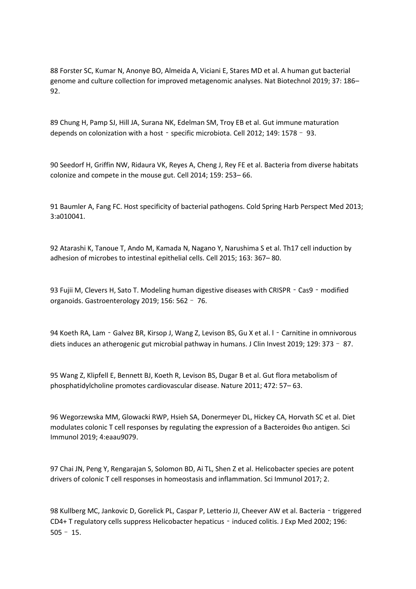88 Forster SC, Kumar N, Anonye BO, Almeida A, Viciani E, Stares MD et al. A human gut bacterial genome and culture collection for improved metagenomic analyses. Nat Biotechnol 2019; 37: 186– 92.

89 Chung H, Pamp SJ, Hill JA, Surana NK, Edelman SM, Troy EB et al. Gut immune maturation depends on colonization with a host - specific microbiota. Cell 2012; 149: 1578 - 93.

90 Seedorf H, Griffin NW, Ridaura VK, Reyes A, Cheng J, Rey FE et al. Bacteria from diverse habitats colonize and compete in the mouse gut. Cell 2014; 159: 253– 66.

91 Baumler A, Fang FC. Host specificity of bacterial pathogens. Cold Spring Harb Perspect Med 2013; 3:a010041.

92 Atarashi K, Tanoue T, Ando M, Kamada N, Nagano Y, Narushima S et al. Th17 cell induction by adhesion of microbes to intestinal epithelial cells. Cell 2015; 163: 367– 80.

93 Fujii M, Clevers H, Sato T. Modeling human digestive diseases with CRISPR - Cas9 - modified organoids. Gastroenterology 2019; 156: 562– 76.

94 Koeth RA, Lam - Galvez BR, Kirsop J, Wang Z, Levison BS, Gu X et al. I - Carnitine in omnivorous diets induces an atherogenic gut microbial pathway in humans. J Clin Invest 2019; 129: 373– 87.

95 Wang Z, Klipfell E, Bennett BJ, Koeth R, Levison BS, Dugar B et al. Gut flora metabolism of phosphatidylcholine promotes cardiovascular disease. Nature 2011; 472: 57– 63.

96 Wegorzewska MM, Glowacki RWP, Hsieh SA, Donermeyer DL, Hickey CA, Horvath SC et al. Diet modulates colonic T cell responses by regulating the expression of a Bacteroides θιο antigen. Sci Immunol 2019; 4:eaau9079.

97 Chai JN, Peng Y, Rengarajan S, Solomon BD, Ai TL, Shen Z et al. Helicobacter species are potent drivers of colonic T cell responses in homeostasis and inflammation. Sci Immunol 2017; 2.

98 Kullberg MC, Jankovic D, Gorelick PL, Caspar P, Letterio JJ, Cheever AW et al. Bacteria - triggered CD4+ T regulatory cells suppress Helicobacter hepaticus - induced colitis. J Exp Med 2002; 196:  $505 - 15$ .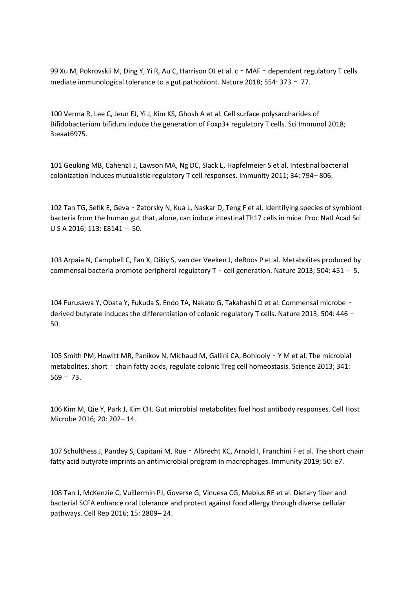99 Xu M, Pokrovskii M, Ding Y, Yi R, Au C, Harrison OJ et al. c - MAF - dependent regulatory T cells mediate immunological tolerance to a gut pathobiont. Nature 2018; 554: 373– 77.

100 Verma R, Lee C, Jeun EJ, Yi J, Kim KS, Ghosh A et al. Cell surface polysaccharides of Bifidobacterium bifidum induce the generation of Foxp3+ regulatory T cells. Sci Immunol 2018; 3:eaat6975.

101 Geuking MB, Cahenzli J, Lawson MA, Ng DC, Slack E, Hapfelmeier S et al. Intestinal bacterial colonization induces mutualistic regulatory T cell responses. Immunity 2011; 34: 794– 806.

102 Tan TG, Sefik E, Geva - Zatorsky N, Kua L, Naskar D, Teng F et al. Identifying species of symbiont bacteria from the human gut that, alone, can induce intestinal Th17 cells in mice. Proc Natl Acad Sci U S A 2016; 113: E8141– 50.

103 Arpaia N, Campbell C, Fan X, Dikiy S, van der Veeken J, deRoos P et al. Metabolites produced by commensal bacteria promote peripheral regulatory T - cell generation. Nature 2013; 504: 451 - 5.

104 Furusawa Y, Obata Y, Fukuda S, Endo TA, Nakato G, Takahashi D et al. Commensal microbe‐ derived butyrate induces the differentiation of colonic regulatory T cells. Nature 2013; 504: 446– 50.

105 Smith PM, Howitt MR, Panikov N, Michaud M, Gallini CA, Bohlooly‐Y M et al. The microbial metabolites, short - chain fatty acids, regulate colonic Treg cell homeostasis. Science 2013; 341: 569– 73.

106 Kim M, Qie Y, Park J, Kim CH. Gut microbial metabolites fuel host antibody responses. Cell Host Microbe 2016; 20: 202– 14.

107 Schulthess J, Pandey S, Capitani M, Rue - Albrecht KC, Arnold I, Franchini F et al. The short chain fatty acid butyrate imprints an antimicrobial program in macrophages. Immunity 2019; 50: e7.

108 Tan J, McKenzie C, Vuillermin PJ, Goverse G, Vinuesa CG, Mebius RE et al. Dietary fiber and bacterial SCFA enhance oral tolerance and protect against food allergy through diverse cellular pathways. Cell Rep 2016; 15: 2809– 24.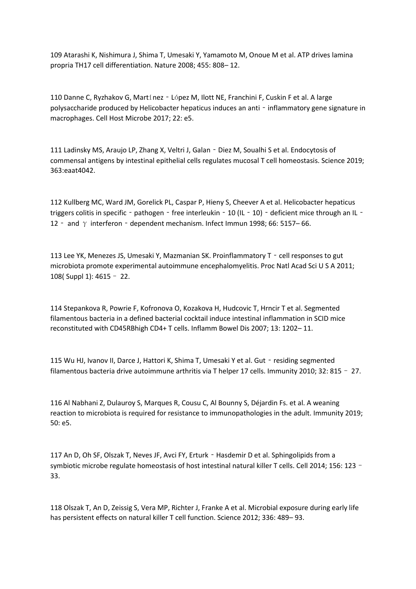109 Atarashi K, Nishimura J, Shima T, Umesaki Y, Yamamoto M, Onoue M et al. ATP drives lamina propria TH17 cell differentiation. Nature 2008; 455: 808– 12.

110 Danne C, Ryzhakov G, Martínez - López M, Ilott NE, Franchini F, Cuskin F et al. A large polysaccharide produced by Helicobacter hepaticus induces an anti - inflammatory gene signature in macrophages. Cell Host Microbe 2017; 22: e5.

111 Ladinsky MS, Araujo LP, Zhang X, Veltri J, Galan - Diez M, Soualhi S et al. Endocytosis of commensal antigens by intestinal epithelial cells regulates mucosal T cell homeostasis. Science 2019; 363:eaat4042.

112 Kullberg MC, Ward JM, Gorelick PL, Caspar P, Hieny S, Cheever A et al. Helicobacter hepaticus triggers colitis in specific - pathogen - free interleukin - 10 (IL - 10) - deficient mice through an IL -12 - and  $\gamma$  interferon - dependent mechanism. Infect Immun 1998; 66: 5157– 66.

113 Lee YK, Menezes JS, Umesaki Y, Mazmanian SK. Proinflammatory T - cell responses to gut microbiota promote experimental autoimmune encephalomyelitis. Proc Natl Acad Sci U S A 2011; 108( Suppl 1): 4615– 22.

114 Stepankova R, Powrie F, Kofronova O, Kozakova H, Hudcovic T, Hrncir T et al. Segmented filamentous bacteria in a defined bacterial cocktail induce intestinal inflammation in SCID mice reconstituted with CD45RBhigh CD4+ T cells. Inflamm Bowel Dis 2007; 13: 1202– 11.

115 Wu HJ, Ivanov II, Darce J, Hattori K, Shima T, Umesaki Y et al. Gut - residing segmented filamentous bacteria drive autoimmune arthritis via T helper 17 cells. Immunity 2010; 32: 815– 27.

116 Al Nabhani Z, Dulauroy S, Marques R, Cousu C, Al Bounny S, Déjardin Fs. et al. A weaning reaction to microbiota is required for resistance to immunopathologies in the adult. Immunity 2019; 50: e5.

117 An D, Oh SF, Olszak T, Neves JF, Avci FY, Erturk - Hasdemir D et al. Sphingolipids from a symbiotic microbe regulate homeostasis of host intestinal natural killer T cells. Cell 2014; 156: 123 -33.

118 Olszak T, An D, Zeissig S, Vera MP, Richter J, Franke A et al. Microbial exposure during early life has persistent effects on natural killer T cell function. Science 2012; 336: 489– 93.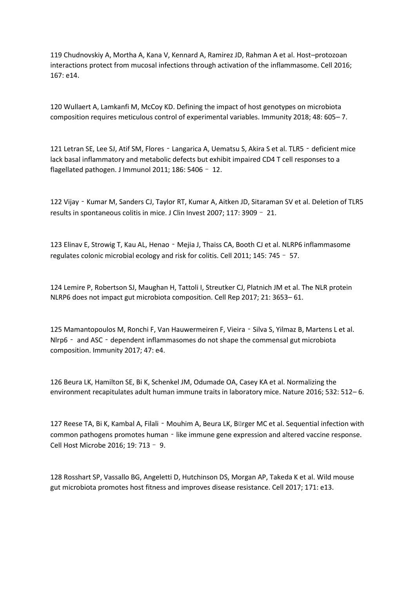119 Chudnovskiy A, Mortha A, Kana V, Kennard A, Ramirez JD, Rahman A et al. Host–protozoan interactions protect from mucosal infections through activation of the inflammasome. Cell 2016; 167: e14.

120 Wullaert A, Lamkanfi M, McCoy KD. Defining the impact of host genotypes on microbiota composition requires meticulous control of experimental variables. Immunity 2018; 48: 605– 7.

121 Letran SE, Lee SJ, Atif SM, Flores - Langarica A, Uematsu S, Akira S et al. TLR5 - deficient mice lack basal inflammatory and metabolic defects but exhibit impaired CD4 T cell responses to a flagellated pathogen. J Immunol 2011; 186: 5406– 12.

122 Vijay - Kumar M, Sanders CJ, Taylor RT, Kumar A, Aitken JD, Sitaraman SV et al. Deletion of TLR5 results in spontaneous colitis in mice. J Clin Invest 2007; 117: 3909– 21.

123 Elinav E, Strowig T, Kau AL, Henao‐Mejia J, Thaiss CA, Booth CJ et al. NLRP6 inflammasome regulates colonic microbial ecology and risk for colitis. Cell 2011; 145: 745– 57.

124 Lemire P, Robertson SJ, Maughan H, Tattoli I, Streutker CJ, Platnich JM et al. The NLR protein NLRP6 does not impact gut microbiota composition. Cell Rep 2017; 21: 3653– 61.

125 Mamantopoulos M, Ronchi F, Van Hauwermeiren F, Vieira - Silva S, Yilmaz B, Martens L et al. Nlrp6 - and ASC - dependent inflammasomes do not shape the commensal gut microbiota composition. Immunity 2017; 47: e4.

126 Beura LK, Hamilton SE, Bi K, Schenkel JM, Odumade OA, Casey KA et al. Normalizing the environment recapitulates adult human immune traits in laboratory mice. Nature 2016; 532: 512– 6.

127 Reese TA, Bi K, Kambal A, Filali - Mouhim A, Beura LK, Bürger MC et al. Sequential infection with common pathogens promotes human - like immune gene expression and altered vaccine response. Cell Host Microbe 2016; 19: 713– 9.

128 Rosshart SP, Vassallo BG, Angeletti D, Hutchinson DS, Morgan AP, Takeda K et al. Wild mouse gut microbiota promotes host fitness and improves disease resistance. Cell 2017; 171: e13.